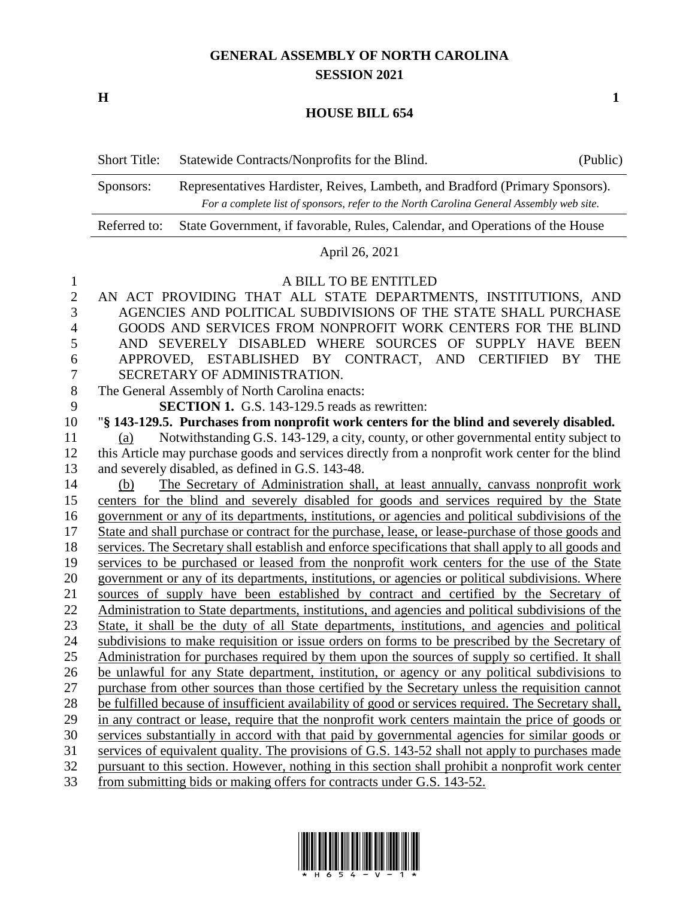## **GENERAL ASSEMBLY OF NORTH CAROLINA SESSION 2021**

**H 1**

## **HOUSE BILL 654**

| <b>Short Title:</b> | Statewide Contracts/Nonprofits for the Blind.                                           | (Public) |
|---------------------|-----------------------------------------------------------------------------------------|----------|
| Sponsors:           | Representatives Hardister, Reives, Lambeth, and Bradford (Primary Sponsors).            |          |
|                     | For a complete list of sponsors, refer to the North Carolina General Assembly web site. |          |
| Referred to:        | State Government, if favorable, Rules, Calendar, and Operations of the House            |          |

## April 26, 2021

## A BILL TO BE ENTITLED

| $\overline{2}$ | AN ACT PROVIDING THAT ALL STATE DEPARTMENTS, INSTITUTIONS, AND                                       |
|----------------|------------------------------------------------------------------------------------------------------|
| 3              | AGENCIES AND POLITICAL SUBDIVISIONS OF THE STATE SHALL PURCHASE                                      |
| $\overline{4}$ | GOODS AND SERVICES FROM NONPROFIT WORK CENTERS FOR THE BLIND                                         |
| 5              | AND SEVERELY DISABLED WHERE SOURCES OF SUPPLY HAVE BEEN                                              |
| 6              | APPROVED, ESTABLISHED BY CONTRACT, AND CERTIFIED BY<br><b>THE</b>                                    |
| 7              | SECRETARY OF ADMINISTRATION.                                                                         |
| 8              | The General Assembly of North Carolina enacts:                                                       |
| 9              | <b>SECTION 1.</b> G.S. 143-129.5 reads as rewritten:                                                 |
| 10             | "§ 143-129.5. Purchases from nonprofit work centers for the blind and severely disabled.             |
| 11             | Notwithstanding G.S. 143-129, a city, county, or other governmental entity subject to<br>(a)         |
| 12             | this Article may purchase goods and services directly from a nonprofit work center for the blind     |
| 13             | and severely disabled, as defined in G.S. 143-48.                                                    |
| 14             | The Secretary of Administration shall, at least annually, canvass nonprofit work<br>(b)              |
| 15             | centers for the blind and severely disabled for goods and services required by the State             |
| 16             | government or any of its departments, institutions, or agencies and political subdivisions of the    |
| 17             | State and shall purchase or contract for the purchase, lease, or lease-purchase of those goods and   |
| 18             | services. The Secretary shall establish and enforce specifications that shall apply to all goods and |
| 19             | services to be purchased or leased from the nonprofit work centers for the use of the State          |
| 20             | government or any of its departments, institutions, or agencies or political subdivisions. Where     |
| 21             | sources of supply have been established by contract and certified by the Secretary of                |
| 22             | Administration to State departments, institutions, and agencies and political subdivisions of the    |
| 23             | State, it shall be the duty of all State departments, institutions, and agencies and political       |
| 24             | subdivisions to make requisition or issue orders on forms to be prescribed by the Secretary of       |
| 25             | Administration for purchases required by them upon the sources of supply so certified. It shall      |
| 26             | be unlawful for any State department, institution, or agency or any political subdivisions to        |
| 27             | purchase from other sources than those certified by the Secretary unless the requisition cannot      |
| 28             | be fulfilled because of insufficient availability of good or services required. The Secretary shall, |
| 29             | in any contract or lease, require that the nonprofit work centers maintain the price of goods or     |
| 30             | services substantially in accord with that paid by governmental agencies for similar goods or        |
| 31             | services of equivalent quality. The provisions of G.S. 143-52 shall not apply to purchases made      |
| 32             | pursuant to this section. However, nothing in this section shall prohibit a nonprofit work center    |
| 33             | from submitting bids or making offers for contracts under G.S. 143-52.                               |